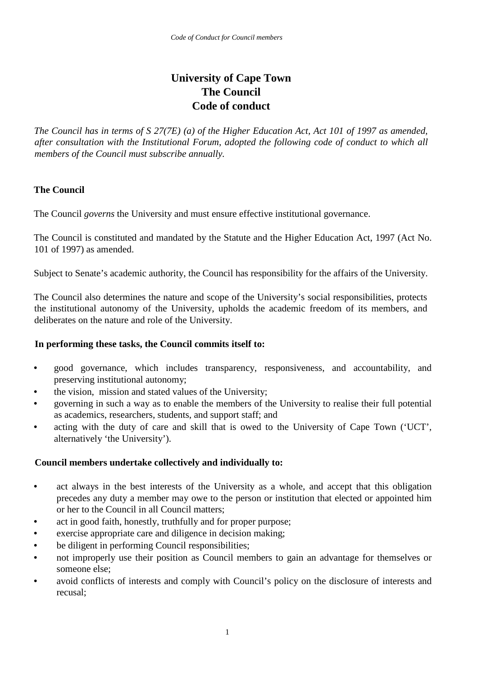# **University of Cape Town The Council Code of conduct**

*The Council has in terms of S 27(7E) (a) of the Higher Education Act, Act 101 of 1997 as amended, after consultation with the Institutional Forum, adopted the following code of conduct to which all members of the Council must subscribe annually.* 

# **The Council**

The Council *governs* the University and must ensure effective institutional governance.

The Council is constituted and mandated by the Statute and the Higher Education Act, 1997 (Act No. 101 of 1997) as amended.

Subject to Senate's academic authority, the Council has responsibility for the affairs of the University.

The Council also determines the nature and scope of the University's social responsibilities, protects the institutional autonomy of the University, upholds the academic freedom of its members, and deliberates on the nature and role of the University.

# **In performing these tasks, the Council commits itself to:**

- good governance, which includes transparency, responsiveness, and accountability, and preserving institutional autonomy;
- the vision, mission and stated values of the University;
- governing in such a way as to enable the members of the University to realise their full potential as academics, researchers, students, and support staff; and
- acting with the duty of care and skill that is owed to the University of Cape Town ('UCT', alternatively 'the University').

# **Council members undertake collectively and individually to:**

- act always in the best interests of the University as a whole, and accept that this obligation precedes any duty a member may owe to the person or institution that elected or appointed him or her to the Council in all Council matters;
- act in good faith, honestly, truthfully and for proper purpose;
- exercise appropriate care and diligence in decision making;
- be diligent in performing Council responsibilities;
- not improperly use their position as Council members to gain an advantage for themselves or someone else;
- avoid conflicts of interests and comply with Council's policy on the disclosure of interests and recusal;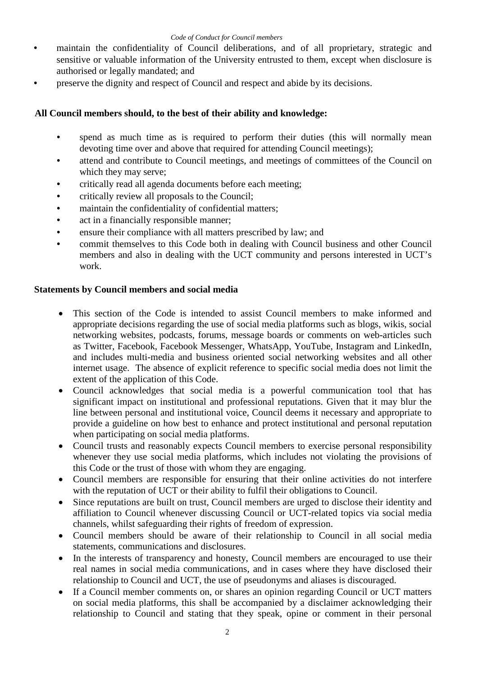- maintain the confidentiality of Council deliberations, and of all proprietary, strategic and sensitive or valuable information of the University entrusted to them, except when disclosure is authorised or legally mandated; and
- preserve the dignity and respect of Council and respect and abide by its decisions.

## **All Council members should, to the best of their ability and knowledge:**

- spend as much time as is required to perform their duties (this will normally mean devoting time over and above that required for attending Council meetings);
- attend and contribute to Council meetings, and meetings of committees of the Council on which they may serve;
- critically read all agenda documents before each meeting;
- critically review all proposals to the Council;
- maintain the confidentiality of confidential matters;
- act in a financially responsible manner;
- ensure their compliance with all matters prescribed by law; and
- commit themselves to this Code both in dealing with Council business and other Council members and also in dealing with the UCT community and persons interested in UCT's work.

### **Statements by Council members and social media**

- This section of the Code is intended to assist Council members to make informed and appropriate decisions regarding the use of social media platforms such as blogs, wikis, social networking websites, podcasts, forums, message boards or comments on web-articles such as Twitter, Facebook, Facebook Messenger, WhatsApp, YouTube, Instagram and LinkedIn, and includes multi-media and business oriented social networking websites and all other internet usage. The absence of explicit reference to specific social media does not limit the extent of the application of this Code.
- Council acknowledges that social media is a powerful communication tool that has significant impact on institutional and professional reputations. Given that it may blur the line between personal and institutional voice, Council deems it necessary and appropriate to provide a guideline on how best to enhance and protect institutional and personal reputation when participating on social media platforms.
- Council trusts and reasonably expects Council members to exercise personal responsibility whenever they use social media platforms, which includes not violating the provisions of this Code or the trust of those with whom they are engaging.
- Council members are responsible for ensuring that their online activities do not interfere with the reputation of UCT or their ability to fulfil their obligations to Council.
- Since reputations are built on trust, Council members are urged to disclose their identity and affiliation to Council whenever discussing Council or UCT-related topics via social media channels, whilst safeguarding their rights of freedom of expression.
- Council members should be aware of their relationship to Council in all social media statements, communications and disclosures.
- In the interests of transparency and honesty, Council members are encouraged to use their real names in social media communications, and in cases where they have disclosed their relationship to Council and UCT, the use of pseudonyms and aliases is discouraged.
- If a Council member comments on, or shares an opinion regarding Council or UCT matters on social media platforms, this shall be accompanied by a disclaimer acknowledging their relationship to Council and stating that they speak, opine or comment in their personal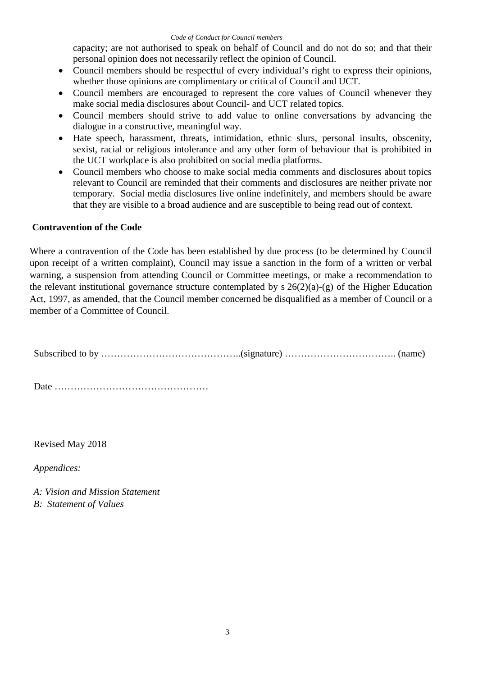#### *Code of Conduct for Council members*

capacity; are not authorised to speak on behalf of Council and do not do so; and that their personal opinion does not necessarily reflect the opinion of Council.

- Council members should be respectful of every individual's right to express their opinions, whether those opinions are complimentary or critical of Council and UCT.
- Council members are encouraged to represent the core values of Council whenever they make social media disclosures about Council- and UCT related topics.
- Council members should strive to add value to online conversations by advancing the dialogue in a constructive, meaningful way.
- Hate speech, harassment, threats, intimidation, ethnic slurs, personal insults, obscenity, sexist, racial or religious intolerance and any other form of behaviour that is prohibited in the UCT workplace is also prohibited on social media platforms.
- Council members who choose to make social media comments and disclosures about topics relevant to Council are reminded that their comments and disclosures are neither private nor temporary. Social media disclosures live online indefinitely, and members should be aware that they are visible to a broad audience and are susceptible to being read out of context.

### **Contravention of the Code**

Where a contravention of the Code has been established by due process (to be determined by Council upon receipt of a written complaint), Council may issue a sanction in the form of a written or verbal warning, a suspension from attending Council or Committee meetings, or make a recommendation to the relevant institutional governance structure contemplated by  $s \ 26(2)(a)-(g)$  of the Higher Education Act, 1997, as amended, that the Council member concerned be disqualified as a member of Council or a member of a Committee of Council.

Subscribed to by ……………………………………..(signature) …………………………….. (name)

Date …………………………………………

Revised May 2018

*Appendices:* 

*A: Vision and Mission Statement B: Statement of Values*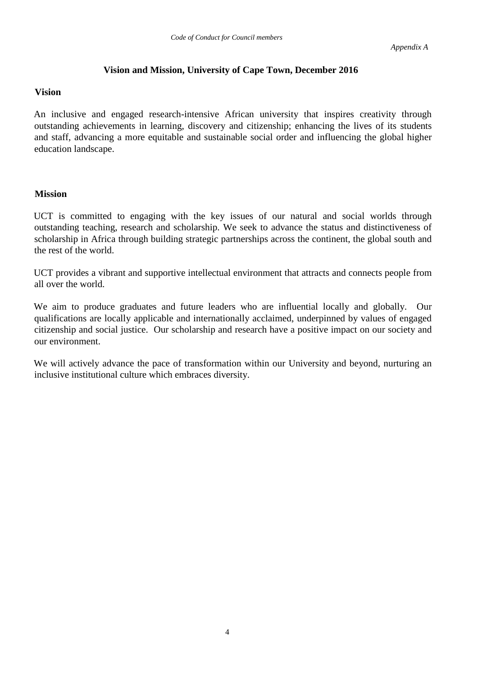### **Vision and Mission, University of Cape Town, December 2016**

#### **Vision**

An inclusive and engaged research-intensive African university that inspires creativity through outstanding achievements in learning, discovery and citizenship; enhancing the lives of its students and staff, advancing a more equitable and sustainable social order and influencing the global higher education landscape.

### **Mission**

UCT is committed to engaging with the key issues of our natural and social worlds through outstanding teaching, research and scholarship. We seek to advance the status and distinctiveness of scholarship in Africa through building strategic partnerships across the continent, the global south and the rest of the world.

UCT provides a vibrant and supportive intellectual environment that attracts and connects people from all over the world.

We aim to produce graduates and future leaders who are influential locally and globally. Our qualifications are locally applicable and internationally acclaimed, underpinned by values of engaged citizenship and social justice. Our scholarship and research have a positive impact on our society and our environment.

We will actively advance the pace of transformation within our University and beyond, nurturing an inclusive institutional culture which embraces diversity.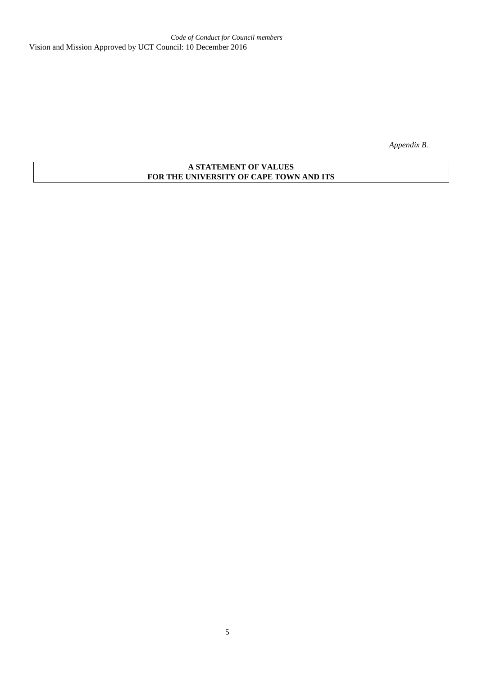*Appendix B.* 

### **A STATEMENT OF VALUES FOR THE UNIVERSITY OF CAPE TOWN AND ITS**